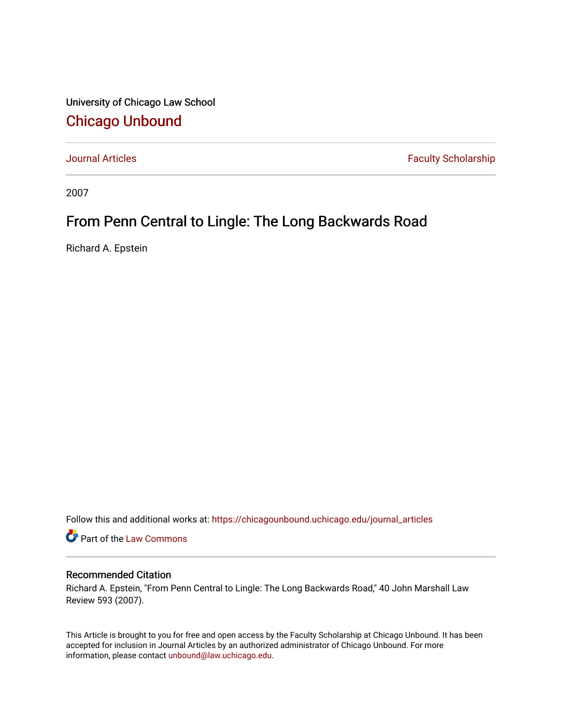University of Chicago Law School [Chicago Unbound](https://chicagounbound.uchicago.edu/)

[Journal Articles](https://chicagounbound.uchicago.edu/journal_articles) **Faculty Scholarship Faculty Scholarship** 

2007

## From Penn Central to Lingle: The Long Backwards Road

Richard A. Epstein

Follow this and additional works at: [https://chicagounbound.uchicago.edu/journal\\_articles](https://chicagounbound.uchicago.edu/journal_articles?utm_source=chicagounbound.uchicago.edu%2Fjournal_articles%2F254&utm_medium=PDF&utm_campaign=PDFCoverPages) 

Part of the [Law Commons](http://network.bepress.com/hgg/discipline/578?utm_source=chicagounbound.uchicago.edu%2Fjournal_articles%2F254&utm_medium=PDF&utm_campaign=PDFCoverPages)

## Recommended Citation

Richard A. Epstein, "From Penn Central to Lingle: The Long Backwards Road," 40 John Marshall Law Review 593 (2007).

This Article is brought to you for free and open access by the Faculty Scholarship at Chicago Unbound. It has been accepted for inclusion in Journal Articles by an authorized administrator of Chicago Unbound. For more information, please contact [unbound@law.uchicago.edu](mailto:unbound@law.uchicago.edu).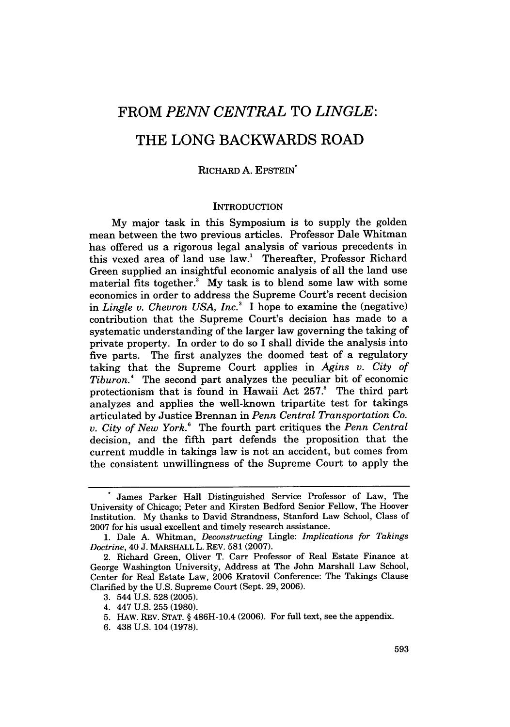# FROM *PENN CENTRAL* TO *LINGLE:* THE **LONG** BACKWARDS ROAD

## RICHARD A. EPSTEIN\*

#### **INTRODUCTION**

My major task in this Symposium is to supply the golden mean between the two previous articles. Professor Dale Whitman has offered us a rigorous legal analysis of various precedents in this vexed area of land use law.' Thereafter, Professor Richard Green supplied an insightful economic analysis of all the land use material fits together. $2^{\circ}$  My task is to blend some law with some economics in order to address the Supreme Court's recent decision in *Lingle v. Chevron USA, Inc.*<sup>3</sup> I hope to examine the (negative) contribution that the Supreme Court's decision has made to a systematic understanding of the larger law governing the taking of private property. In order to do so I shall divide the analysis into five parts. The first analyzes the doomed test of a regulatory taking that the Supreme Court applies in *Agins v. City of Tiburon.4* The second part analyzes the peculiar bit of economic protectionism that is found in Hawaii Act 257.<sup>5</sup> The third part analyzes and applies the well-known tripartite test for takings articulated by Justice Brennan in *Penn Central Transportation Co. v. City of New York.6* The fourth part critiques the *Penn Central* decision, and the fifth part defends the proposition that the current muddle in takings law is not an accident, but comes from the consistent unwillingness of the Supreme Court to apply the

James Parker Hall Distinguished Service Professor of Law, The University of Chicago; Peter and Kirsten Bedford Senior Fellow, The Hoover Institution. My thanks to David Strandness, Stanford Law School, Class of 2007 for his usual excellent and timely research assistance.

<sup>1.</sup> Dale A. Whitman, *Deconstructing* Lingle: *Implications for Takings Doctrine,* 40 J. MARSHALL L. REV. 581 (2007).

<sup>2.</sup> Richard Green, Oliver T. Carr Professor of Real Estate Finance at George Washington University, Address at The John Marshall Law School, Center for Real Estate Law, 2006 Kratovil Conference: The Takings Clause Clarified by the U.S. Supreme Court (Sept. 29, 2006).

<sup>3. 544</sup> U.S. 528 (2005).

<sup>4. 447</sup> U.S. 255 (1980).

<sup>5.</sup> HAW. REV. STAT. § 486H-10.4 (2006). For full text, see the appendix.

<sup>6. 438</sup> U.S. 104 (1978).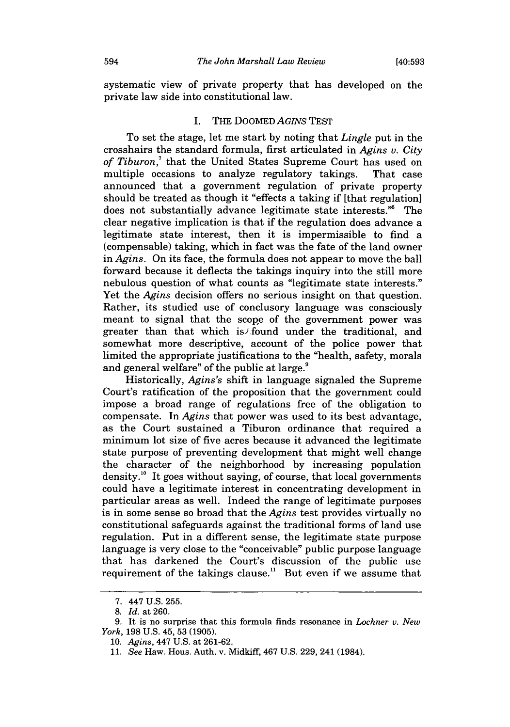systematic view of private property that has developed on the private law side into constitutional law.

## I. THE DOOMED *AGINS* TEST

To set the stage, let me start by noting that *Lingle* put in the crosshairs the standard formula, first articulated in *Agins v. City of Tiburon,'* that the United States Supreme Court has used on multiple occasions to analyze regulatory takings. That case announced that a government regulation of private property should be treated as though it "effects a taking if [that regulation] does not substantially advance legitimate state interests." The clear negative implication is that if the regulation does advance a legitimate state interest, then it is impermissible to find a (compensable) taking, which in fact was the fate of the land owner in *Agins.* On its face, the formula does not appear to move the ball forward because it deflects the takings inquiry into the still more nebulous question of what counts as "legitimate state interests." Yet the *Agins* decision offers no serious insight on that question. Rather, its studied use of conclusory language was consciously meant to signal that the scope of the government power was greater than that which is found under the traditional, and somewhat more descriptive, account of the police power that limited the appropriate justifications to the "health, safety, morals and general welfare" of the public at large.<sup>9</sup>

Historically, *Agins's* shift in language signaled the Supreme Court's ratification of the proposition that the government could impose a broad range of regulations free of the obligation to compensate. In *Agins* that power was used to its best advantage, as the Court sustained a Tiburon ordinance that required a minimum lot size of five acres because it advanced the legitimate state purpose of preventing development that might well change the character of the neighborhood by increasing population density.<sup>10</sup> It goes without saying, of course, that local governments could have a legitimate interest in concentrating development in particular areas as well. Indeed the range of legitimate purposes is in some sense so broad that the *Agins* test provides virtually no constitutional safeguards against the traditional forms of land use regulation. Put in a different sense, the legitimate state purpose language is very close to the "conceivable" public purpose language that has darkened the Court's discussion of the public use requirement of the takings clause." But even if we assume that

<sup>7. 447</sup> U.S. 255.

<sup>8.</sup> *Id.* at 260.

<sup>9.</sup> It is no surprise that this formula finds resonance in *Lochner v. New York,* 198 U.S. 45, 53 (1905).

<sup>10.</sup> *Agins,* 447 U.S. at 261-62.

<sup>11.</sup> *See* Haw. Hous. Auth. v. Midkiff, 467 U.S. 229, 241 (1984).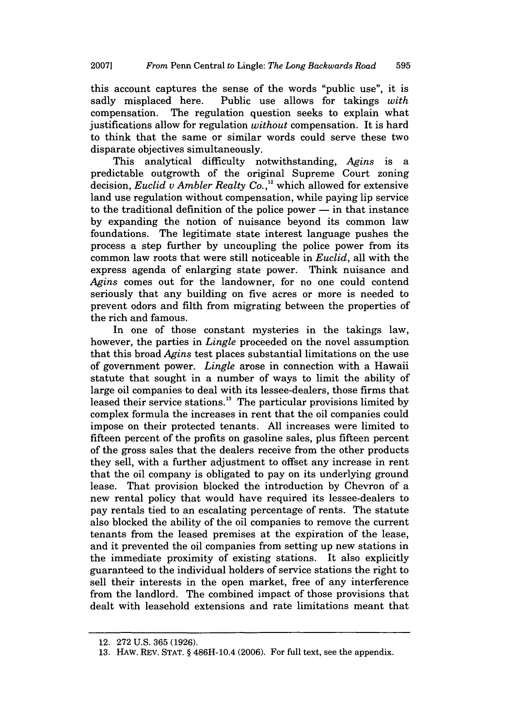this account captures the sense of the words "public use", it is sadly misplaced here. Public use allows for takings *with* compensation. The regulation question seeks to explain what justifications allow for regulation *without* compensation. It is hard to think that the same or similar words could serve these two disparate objectives simultaneously.

This analytical difficulty notwithstanding, *Agins* is a predictable outgrowth of the original Supreme Court zoning decision, *Euclid v Ambler Realty Co.,"* which allowed for extensive land use regulation without compensation, while paying lip service to the traditional definition of the police power **-** in that instance by expanding the notion of nuisance beyond its common law foundations. The legitimate state interest language pushes the process a step further by uncoupling the police power from its common law roots that were still noticeable in *Euclid,* all with the express agenda of enlarging state power. Think nuisance and *Agins* comes out for the landowner, for no one could contend seriously that any building on five acres or more is needed to prevent odors and filth from migrating between the properties of the rich and famous.

In one of those constant mysteries in the takings law, however, the parties in *Lingle* proceeded on the novel assumption that this broad *Agins* test places substantial limitations on the use of government power. *Lingle* arose in connection with a Hawaii statute that sought in a number of ways to limit the ability of large oil companies to deal with its lessee-dealers, those firms that leased their service stations.<sup>13</sup> The particular provisions limited by complex formula the increases in rent that the oil companies could impose on their protected tenants. All increases were limited to fifteen percent of the profits on gasoline sales, plus fifteen percent of the gross sales that the dealers receive from the other products they sell, with a further adjustment to offset any increase in rent that the oil company is obligated to pay on its underlying ground lease. That provision blocked the introduction by Chevron of a new rental policy that would have required its lessee-dealers to pay rentals tied to an escalating percentage of rents. The statute also blocked the ability of the oil companies to remove the current tenants from the leased premises at the expiration of the lease, and it prevented the oil companies from setting up new stations in the immediate proximity of existing stations. It also explicitly guaranteed to the individual holders of service stations the right to sell their interests in the open market, free of any interference from the landlord. The combined impact of those provisions that dealt with leasehold extensions and rate limitations meant that

<sup>12. 272</sup> U.S. 365 (1926).

<sup>13.</sup> HAW. REV. STAT. § 486H-10.4 (2006). For full text, see the appendix.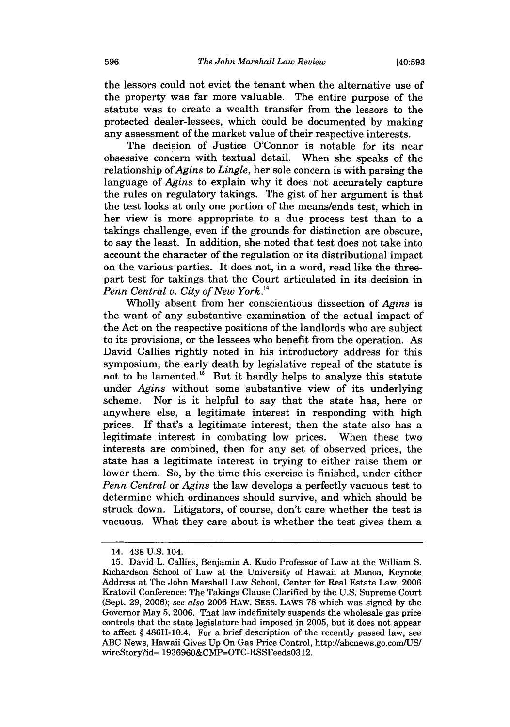the lessors could not evict the tenant when the alternative use of the property was far more valuable. The entire purpose of the statute was to create a wealth transfer from the lessors to the protected dealer-lessees, which could be documented by making any assessment of the market value of their respective interests.

The decision of Justice O'Connor is notable for its near obsessive concern with textual detail. When she speaks of the relationship of *Agins* to *Lingle,* her sole concern is with parsing the language of *Agins* to explain why it does not accurately capture the rules on regulatory takings. The gist of her argument is that the test looks at only one portion of the means/ends test, which in her view is more appropriate to a due process test than to a takings challenge, even if the grounds for distinction are obscure, to say the least. In addition, she noted that test does not take into account the character of the regulation or its distributional impact on the various parties. It does not, in a word, read like the threepart test for takings that the Court articulated in its decision in *Penn Central v. City of New York. <sup>4</sup>*

Wholly absent from her conscientious dissection of *Agins* is the want of any substantive examination of the actual impact of the Act on the respective positions of the landlords who are subject to its provisions, or the lessees who benefit from the operation. As David Callies rightly noted in his introductory address for this symposium, the early death by legislative repeal of the statute is not to be lamented.<sup>15</sup> But it hardly helps to analyze this statute under *Agins* without some substantive view of its underlying scheme. Nor is it helpful to say that the state has, here or anywhere else, a legitimate interest in responding with high prices. If that's a legitimate interest, then the state also has a legitimate interest in combating low prices. When these two interests are combined, then for any set of observed prices, the state has a legitimate interest in trying to either raise them or lower them. So, by the time this exercise is finished, under either *Penn Central* or *Agins* the law develops a perfectly vacuous test to determine which ordinances should survive, and which should be struck down. Litigators, of course, don't care whether the test is vacuous. What they care about is whether the test gives them a

<sup>14. 438</sup> U.S. 104.

<sup>15.</sup> David L. Callies, Benjamin A. Kudo Professor of Law at the William S. Richardson School of Law at the University of Hawaii at Manoa, Keynote Address at The John Marshall Law School, Center for Real Estate Law, 2006 Kratovil Conference: The Takings Clause Clarified by the U.S. Supreme Court (Sept. 29, 2006); *see also* 2006 HAW. SESS. LAWS 78 which was signed by the Governor May 5, 2006. That law indefinitely suspends the wholesale gas price controls that the state legislature had imposed in 2005, but it does not appear to affect § 486H-10.4. For a brief description of the recently passed law, see ABC News, Hawaii Gives Up On Gas Price Control, http://abcnews.go.comUS/ wireStory?id= 1936960&CMP=OTC-RSSFeeds0312.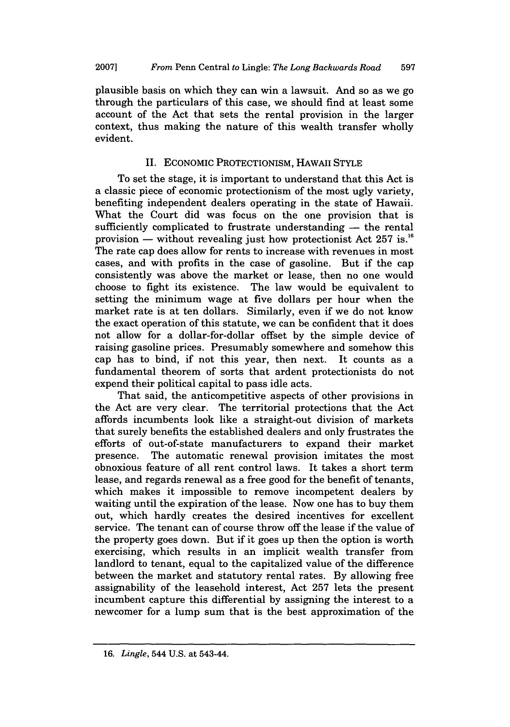plausible basis on which they can win a lawsuit. And so as we go through the particulars of this case, we should find at least some account of the Act that sets the rental provision in the larger context, thus making the nature of this wealth transfer wholly evident.

## II. ECONOMIC PROTECTIONISM, HAWAII STYLE

To set the stage, it is important to understand that this Act is a classic piece of economic protectionism of the most ugly variety, benefiting independent dealers operating in the state of Hawaii. What the Court did was focus on the one provision that is sufficiently complicated to frustrate understanding  $-$  the rental provision — without revealing just how protectionist Act  $257$  is.<sup>16</sup> The rate cap does allow for rents to increase with revenues in most cases, and with profits in the case of gasoline. But if the cap consistently was above the market or lease, then no one would choose to fight its existence. The law would be equivalent to setting the minimum wage at five dollars per hour when the market rate is at ten dollars. Similarly, even if we do not know the exact operation of this statute, we can be confident that it does not allow for a dollar-for-dollar offset by the simple device of raising gasoline prices. Presumably somewhere and somehow this cap has to bind, if not this year, then next. It counts as a fundamental theorem of sorts that ardent protectionists do not expend their political capital to pass idle acts.

That said, the anticompetitive aspects of other provisions in the Act are very clear. The territorial protections that the Act affords incumbents look like a straight-out division of markets that surely benefits the established dealers and only frustrates the efforts of out-of-state manufacturers to expand their market presence. The automatic renewal provision imitates the most obnoxious feature of all rent control laws. It takes a short term lease, and regards renewal as a free good for the benefit of tenants, which makes it impossible to remove incompetent dealers by waiting until the expiration of the lease. Now one has to buy them out, which hardly creates the desired incentives for excellent service. The tenant can of course throw off the lease if the value of the property goes down. But if it goes up then the option is worth exercising, which results in an implicit wealth transfer from landlord to tenant, equal to the capitalized value of the difference between the market and statutory rental rates. By allowing free assignability of the leasehold interest, Act 257 lets the present incumbent capture this differential by assigning the interest to a newcomer for a lump sum that is the best approximation of the

<sup>16.</sup> *Lingle,* 544 U.S. at 543-44.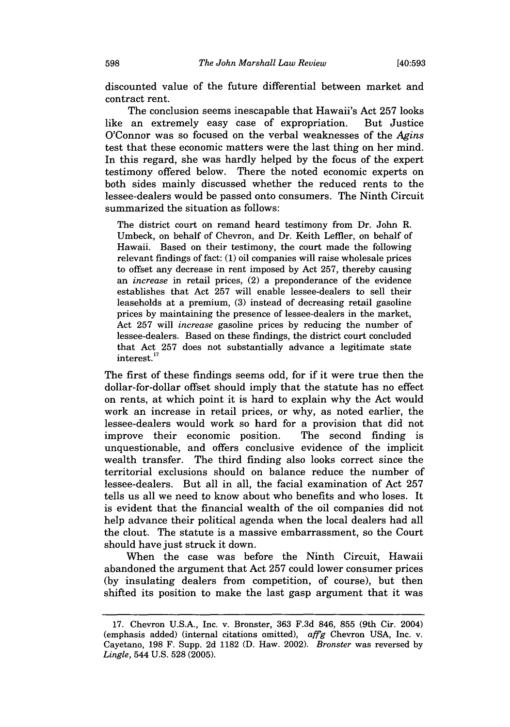discounted value of the future differential between market and contract rent.

The conclusion seems inescapable that Hawaii's Act 257 looks like an extremely easy case of expropriation. But Justice O'Connor was so focused on the verbal weaknesses of the *Agins* test that these economic matters were the last thing on her mind. In this regard, she was hardly helped by the focus of the expert testimony offered below. There the noted economic experts on both sides mainly discussed whether the reduced rents to the lessee-dealers would be passed onto consumers. The Ninth Circuit summarized the situation as follows:

The district court on remand heard testimony from Dr. John R. Umbeck, on behalf of Chevron, and Dr. Keith Leffier, on behalf of Hawaii. Based on their testimony, the court made the following relevant findings of fact: (1) oil companies will raise wholesale prices to offset any decrease in rent imposed by Act 257, thereby causing an *increase* in retail prices, (2) a preponderance of the evidence establishes that Act 257 will enable lessee-dealers to sell their leaseholds at a premium, (3) instead of decreasing retail gasoline prices by maintaining the presence of lessee-dealers in the market, Act 257 will *increase* gasoline prices by reducing the number of lessee-dealers. Based on these findings, the district court concluded that Act 257 does not substantially advance a legitimate state interest. **<sup>17</sup>**

The first of these findings seems odd, for if it were true then the dollar-for-dollar offset should imply that the statute has no effect on rents, at which point it is hard to explain why the Act would work an increase in retail prices, or why, as noted earlier, the lessee-dealers would work so hard for a provision that did not improve their economic position. The second finding is unquestionable, and offers conclusive evidence of the implicit wealth transfer. The third finding also looks correct since the territorial exclusions should on balance reduce the number of lessee-dealers. But all in all, the facial examination of Act 257 tells us all we need to know about who benefits and who loses. It is evident that the financial wealth of the oil companies did not help advance their political agenda when the local dealers had all the clout. The statute is a massive embarrassment, so the Court should have just struck it down.

When the case was before the Ninth Circuit, Hawaii abandoned the argument that Act 257 could lower consumer prices (by insulating dealers from competition, of course), but then shifted its position to make the last gasp argument that it was

<sup>17.</sup> Chevron U.S.A., Inc. v. Bronster, 363 F.3d 846, 855 (9th Cir. 2004) (emphasis added) (internal citations omitted), *affg* Chevron USA, Inc. v. Cayetano, 198 F. Supp. 2d 1182 (D. Haw. 2002). *Bronster* was reversed by *Lingle,* 544 U.S. 528 (2005).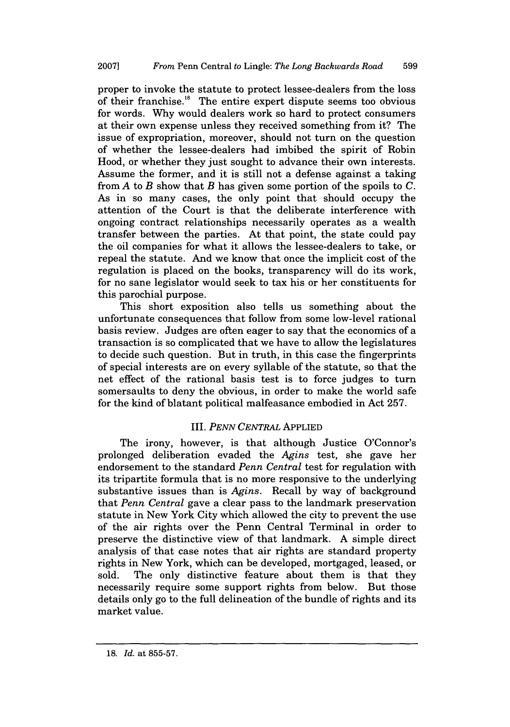proper to invoke the statute to protect lessee-dealers from the loss of their franchise.<sup>18</sup> The entire expert dispute seems too obvious for words. Why would dealers work so hard to protect consumers at their own expense unless they received something from it? The issue of expropriation, moreover, should not turn on the question of whether the lessee-dealers had imbibed the spirit of Robin Hood, or whether they just sought to advance their own interests. Assume the former, and it is still not a defense against a taking from *A* to *B* show that *B* has given some portion of the spoils to C. As in so many cases, the only point that should occupy the attention of the Court is that the deliberate interference with ongoing contract relationships necessarily operates as a wealth transfer between the parties. At that point, the state could pay the oil companies for what it allows the lessee-dealers to take, or repeal the statute. And we know that once the implicit cost of the regulation is placed on the books, transparency will do its work, for no sane legislator would seek to tax his or her constituents for this parochial purpose.

This short exposition also tells us something about the unfortunate consequences that follow from some low-level rational basis review. Judges are often eager to say that the economics of a transaction is so complicated that we have to allow the legislatures to decide such question. But in truth, in this case the fingerprints of special interests are on every syllable of the statute, so that the net effect of the rational basis test is to force judges to turn somersaults to deny the obvious, in order to make the world safe for the kind of blatant political malfeasance embodied in Act 257.

### III. *PENN CENTRAL* APPLIED

The irony, however, is that although Justice O'Connor's prolonged deliberation evaded the *Agins* test, she gave her endorsement to the standard *Penn Central* test for regulation with its tripartite formula that is no more responsive to the underlying substantive issues than is *Agins.* Recall by way of background that *Penn Central* gave a clear pass to the landmark preservation statute in New York City which allowed the city to prevent the use of the air rights over the Penn Central Terminal in order to preserve the distinctive view of that landmark. A simple direct analysis of that case notes that air rights are standard property rights in New York, which can be developed, mortgaged, leased, or sold. The only distinctive feature about them is that they necessarily require some support rights from below. But those details only go to the full delineation of the bundle of rights and its market value.

<sup>18.</sup> *Id.* at 855-57.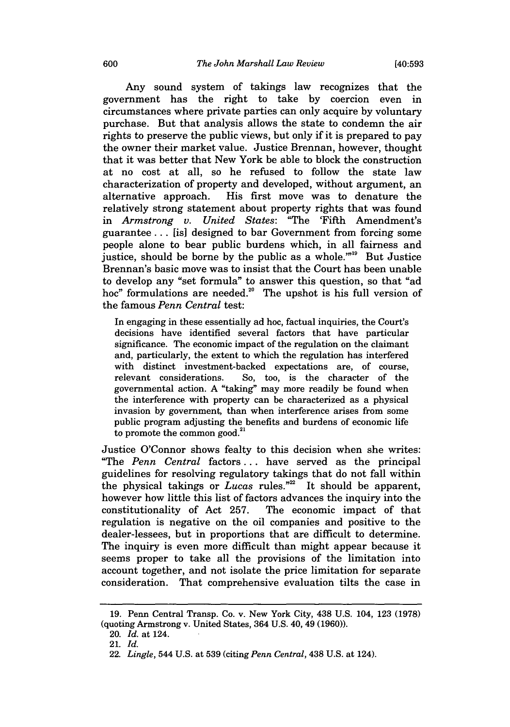Any sound system of takings law recognizes that the government has the right to take by coercion even in circumstances where private parties can only acquire by voluntary purchase. But that analysis allows the state to condemn the air rights to preserve the public views, but only if it is prepared to pay the owner their market value. Justice Brennan, however, thought that it was better that New York be able to block the construction at no cost at all, so he refused to follow the state law characterization of property and developed, without argument, an alternative approach. His first move was to denature the relatively strong statement about property rights that was found in *Armstrong v. United States:* "The 'Fifth Amendment's guarantee... [is] designed to bar Government from forcing some people alone to bear public burdens which, in all fairness and justice, should be borne by the public as a whole."<sup>19</sup> But Justice Brennan's basic move was to insist that the Court has been unable to develop any "set formula" to answer this question, so that "ad hoc" formulations are needed."° The upshot is his full version of the famous *Penn Central* test:

In engaging in these essentially ad hoc, factual inquiries, the Court's decisions have identified several factors that have particular significance. The economic impact of the regulation on the claimant and, particularly, the extent to which the regulation has interfered with distinct investment-backed expectations are, of course, relevant considerations. So, too, is the character of the governmental action. A "taking" may more readily be found when the interference with property can be characterized as a physical invasion by government, than when interference arises from some public program adjusting the benefits and burdens of economic life to promote the common good.<sup>21</sup>

Justice O'Connor shows fealty to this decision when she writes: "The *Penn Central* factors... have served as the principal guidelines for resolving regulatory takings that do not fall within the physical takings or *Lucas* rules."<sup>22</sup> It should be apparent, however how little this list of factors advances the inquiry into the constitutionality of Act 257. The economic impact of that regulation is negative on the oil companies and positive to the dealer-lessees, but in proportions that are difficult to determine. The inquiry is even more difficult than might appear because it seems proper to take all the provisions of the limitation into account together, and not isolate the price limitation for separate consideration. That comprehensive evaluation tilts the case in

<sup>19.</sup> Penn Central Transp. Co. v. New York City, 438 U.S. 104, 123 (1978) (quoting Armstrong v. United States, 364 U.S. 40, 49 (1960)).

<sup>20.</sup> *Id.* at 124.

<sup>21.</sup> *Id.*

<sup>22.</sup> *Lingle,* 544 U.S. at 539 (citing *Penn Central,* 438 U.S. at 124).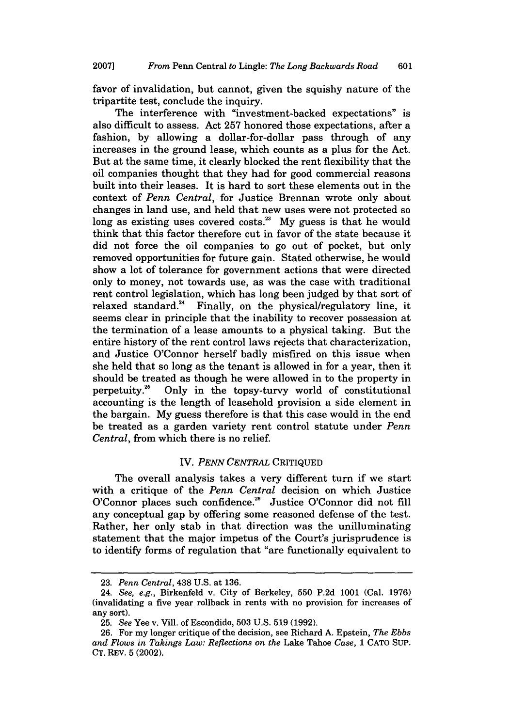favor of invalidation, but cannot, given the squishy nature of the tripartite test, conclude the inquiry.

The interference with "investment-backed expectations" is also difficult to assess. Act 257 honored those expectations, after a fashion, by allowing a dollar-for-dollar pass through of any increases in the ground lease, which counts as a plus for the Act. But at the same time, it clearly blocked the rent flexibility that the oil companies thought that they had for good commercial reasons built into their leases. It is hard to sort these elements out in the context of *Penn Central,* for Justice Brennan wrote only about changes in land use, and held that new uses were not protected so long as existing uses covered costs.<sup>23</sup> My guess is that he would think that this factor therefore cut in favor of the state because it did not force the oil companies to go out of pocket, but only removed opportunities for future gain. Stated otherwise, he would show a lot of tolerance for government actions that were directed only to money, not towards use, as was the case with traditional rent control legislation, which has long been judged by that sort of relaxed standard." Finally, on the physical/regulatory line, it seems clear in principle that the inability to recover possession at the termination of a lease amounts to a physical taking. But the entire history of the rent control laws rejects that characterization, and Justice O'Connor herself badly misfired on this issue when she held that so long as the tenant is allowed in for a year, then it should be treated as though he were allowed in to the property in perpetuity.<sup>25</sup> Only in the topsy-tury world of constitutional Only in the topsy-turvy world of constitutional accounting is the length of leasehold provision a side element in the bargain. My guess therefore is that this case would in the end be treated as a garden variety rent control statute under *Penn Central,* from which there is no relief.

#### IV. *PENN CENTRAL* CRITIQUED

The overall analysis takes a very different turn if we start with a critique of the *Penn Central* decision on which Justice O'Connor places such confidence.<sup>26</sup> Justice O'Connor did not fill any conceptual gap by offering some reasoned defense of the test. Rather, her only stab in that direction was the unilluminating statement that the major impetus of the Court's jurisprudence is to identify forms of regulation that "are functionally equivalent to

<sup>23.</sup> *Penn Central,* 438 U.S. at 136.

<sup>24.</sup> *See, e.g.,* Birkenfeld v. City of Berkeley, 550 P.2d 1001 (Cal. 1976) (invalidating a five year rollback in rents with no provision for increases of any sort).

<sup>25.</sup> *See* Yee v. Vill. of Escondido, 503 U.S. 519 (1992).

<sup>26.</sup> For my longer critique of the decision, see Richard A. Epstein, *The Ebbs and Flows in Takings Law: Reflections on the* Lake Tahoe *Case,* 1 CATO SUP. CT. REv. 5 (2002).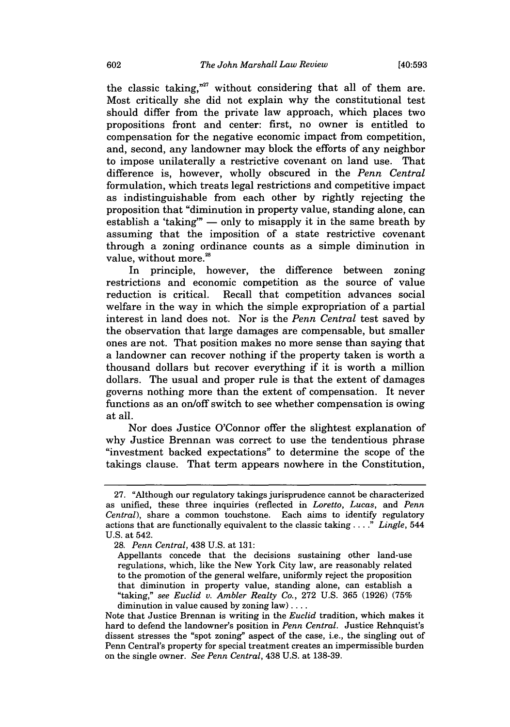[40:593

the classic taking,"<sup>27</sup> without considering that all of them are. Most critically she did not explain why the constitutional test should differ from the private law approach, which places two propositions front and center: first, no owner is entitled to compensation for the negative economic impact from competition, and, second, any landowner may block the efforts of any neighbor to impose unilaterally a restrictive covenant on land use. That difference is, however, wholly obscured in the *Penn Central* formulation, which treats legal restrictions and competitive impact as indistinguishable from each other by rightly rejecting the proposition that "diminution in property value, standing alone, can establish a 'taking"  $-$  only to misapply it in the same breath by assuming that the imposition of a state restrictive covenant through a zoning ordinance counts as a simple diminution in value, without more.<sup>28</sup>

In principle, however, the difference between zoning restrictions and economic competition as the source of value reduction is critical. Recall that competition advances social welfare in the way in which the simple expropriation of a partial interest in land does not. Nor is the *Penn Central* test saved by the observation that large damages are compensable, but smaller ones are not. That position makes no more sense than saying that a landowner can recover nothing if the property taken is worth a thousand dollars but recover everything if it is worth a million dollars. The usual and proper rule is that the extent of damages governs nothing more than the extent of compensation. It never functions as an on/off switch to see whether compensation is owing at all.

Nor does Justice O'Connor offer the slightest explanation of why Justice Brennan was correct to use the tendentious phrase "investment backed expectations" to determine the scope of the takings clause. That term appears nowhere in the Constitution,

<sup>27. &</sup>quot;Although our regulatory takings jurisprudence cannot be characterized as unified, these three inquiries (reflected in *Loretto, Lucas,* and *Penn Central),* share a common touchstone. Each aims to identify regulatory actions that are functionally equivalent to the classic taking **....** *Lingle,* 544 U.S. at 542.

<sup>28.</sup> *Penn Central,* 438 U.S. at 131:

Appellants concede that the decisions sustaining other land-use regulations, which, like the New York City law, are reasonably related to the promotion of the general welfare, uniformly reject the proposition that diminution in property value, standing alone, can establish a "taking," *see Euclid v. Ambler Realty Co.,* 272 U.S. 365 (1926) (75% diminution in value caused by zoning  $law) \ldots$ .

Note that Justice Brennan is writing in the *Euclid* tradition, which makes it hard to defend the landowner's position in *Penn Central.* Justice Rehnquist's dissent stresses the "spot zoning" aspect of the case, i.e., the singling out of Penn Central's property for special treatment creates an impermissible burden on the single owner. *See Penn Central,* 438 U.S. at 138-39.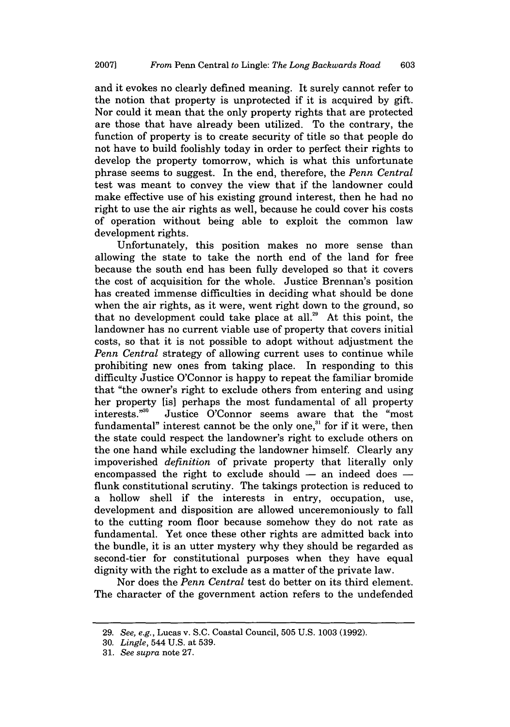and it evokes no clearly defined meaning. It surely cannot refer to the notion that property is unprotected if it is acquired by gift. Nor could it mean that the only property rights that are protected are those that have already been utilized. To the contrary, the function of property is to create security of title so that people do not have to build foolishly today in order to perfect their rights to develop the property tomorrow, which is what this unfortunate phrase seems to suggest. In the end, therefore, the *Penn Central* test was meant to convey the view that if the landowner could make effective use of his existing ground interest, then he had no right to use the air rights as well, because he could cover his costs of operation without being able to exploit the common law development rights.

Unfortunately, this position makes no more sense than allowing the state to take the north end of the land for free because the south end has been fully developed so that it covers the cost of acquisition for the whole. Justice Brennan's position has created immense difficulties in deciding what should be done when the air rights, as it were, went right down to the ground, so that no development could take place at all.<sup>29</sup> At this point, the landowner has no current viable use of property that covers initial costs, so that it is not possible to adopt without adjustment the *Penn Central* strategy of allowing current uses to continue while prohibiting new ones from taking place. In responding to this difficulty Justice O'Connor is happy to repeat the familiar bromide that "the owner's right to exclude others from entering and using her property [is] perhaps the most fundamental of all property interests."<sup>30</sup> Justice O'Connor seems aware that the "most fundamental" interest cannot be the only one,<sup>31</sup> for if it were, then the state could respect the landowner's right to exclude others on the one hand while excluding the landowner himself. Clearly any impoverished *definition* of private property that literally only encompassed the right to exclude should – an indeed does – flunk constitutional scrutiny. The takings protection is reduced to a hollow shell if the interests in entry, occupation, use, development and disposition are allowed unceremoniously to fall to the cutting room floor because somehow they do not rate as fundamental. Yet once these other rights are admitted back into the bundle, it is an utter mystery why they should be regarded as second-tier for constitutional purposes when they have equal dignity with the right to exclude as a matter of the private law.

Nor does the *Penn Central* test do better on its third element. The character of the government action refers to the undefended

<sup>29.</sup> *See, e.g.,* Lucas v. S.C. Coastal Council, 505 U.S. 1003 (1992).

<sup>30.</sup> *Lingle,* 544 U.S. at 539.

<sup>31.</sup> *See supra* note 27.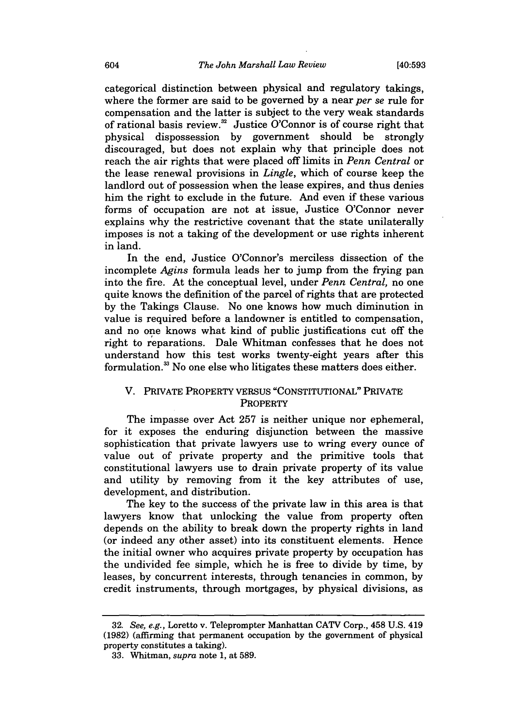categorical distinction between physical and regulatory takings, where the former are said to be governed by a near *per se* rule for compensation and the latter is subject to the very weak standards of rational basis review.<sup>32</sup> Justice O'Connor is of course right that physical dispossession by government should be strongly discouraged, but does not explain why that principle does not reach the air rights that were placed off limits in *Penn Central* or the lease renewal provisions in *Lingle,* which of course keep the landlord out of possession when the lease expires, and thus denies him the right to exclude in the future. And even if these various forms of occupation are not at issue, Justice O'Connor never explains why the restrictive covenant that the state unilaterally imposes is not a taking of the development or use rights inherent in land.

In the end, Justice O'Connor's merciless dissection of the incomplete *Agins* formula leads her to jump from the frying pan into the fire. At the conceptual level, under *Penn Central,* no one quite knows the definition of the parcel of rights that are protected by the Takings Clause. No one knows how much diminution in value is required before a landowner is entitled to compensation, and no one knows what kind of public justifications cut off the right to reparations. Dale Whitman confesses that he does not understand how this test works twenty-eight years after this formulation.<sup>33</sup> No one else who litigates these matters does either.

## V. PRIVATE PROPERTY VERSUS "CONSTITUTIONAL" PRIVATE **PROPERTY**

The impasse over Act 257 is neither unique nor ephemeral, for it exposes the enduring disjunction between the massive sophistication that private lawyers use to wring every ounce of value out of private property and the primitive tools that constitutional lawyers use to drain private property of its value and utility by removing from it the key attributes of use, development, and distribution.

The key to the success of the private law in this area is that lawyers know that unlocking the value from property often depends on the ability to break down the property rights in land (or indeed any other asset) into its constituent elements. Hence the initial owner who acquires private property by occupation has the undivided fee simple, which he is free to divide by time, by leases, by concurrent interests, through tenancies in common, by credit instruments, through mortgages, by physical divisions, as

<sup>32.</sup> *See, e.g.,* Loretto v. Teleprompter Manhattan CATV Corp., 458 U.S. 419 (1982) (affirming that permanent occupation by the government of physical property constitutes a taking).

<sup>33.</sup> Whitman, *supra* note 1, at 589.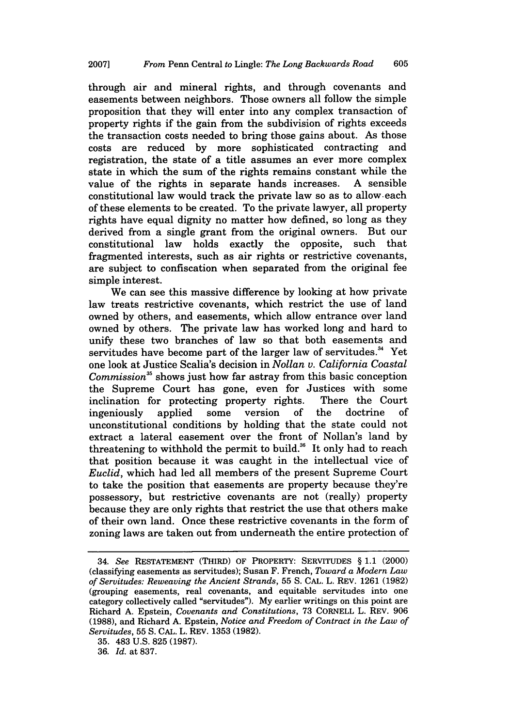through air and mineral rights, and through covenants and easements between neighbors. Those owners all follow the simple proposition that they will enter into any complex transaction of property rights if the gain from the subdivision of rights exceeds the transaction costs needed to bring those gains about. As those costs are reduced by more sophisticated contracting and registration, the state of a title assumes an ever more complex state in which the sum of the rights remains constant while the value of the rights in separate hands increases. A sensible constitutional law would track the private law so as to allow, each of these elements to be created. To the private lawyer, all property rights have equal dignity no matter how defined, so long as they derived from a single grant from the original owners. But our constitutional law holds exactly the opposite, such that fragmented interests, such as air rights or restrictive covenants, are subject to confiscation when separated from the original fee simple interest.

We can see this massive difference by looking at how private law treats restrictive covenants, which restrict the use of land owned by others, and easements, which allow entrance over land owned by others. The private law has worked long and hard to unify these two branches of law so that both easements and servitudes have become part of the larger law of servitudes.<sup>34</sup> Yet one look at Justice Scalia's decision in *Nollan v. California Coastal Commission35* shows just how far astray from this basic conception the Supreme Court has gone, even for Justices with some inclination for protecting property rights. There the Court ingeniously applied some version of the doctrine of unconstitutional conditions by holding that the state could not extract a lateral easement over the front of Nollan's land by threatening to withhold the permit to build. $36$  It only had to reach that position because it was caught in the intellectual vice of *Euclid,* which had led all members of the present Supreme Court to take the position that easements are property because they're possessory, but restrictive covenants are not (really) property because they are only rights that restrict the use that others make of their own land. Once these restrictive covenants in the form of zoning laws are taken out from underneath the entire protection of

<sup>34.</sup> *See* RESTATEMENT (THIRD) OF PROPERTY: SERVITUDES § 1.1 (2000) (classifying easements as servitudes); Susan F. French, *Toward a Modern Law of Servitudes: Reweaving the Ancient Strands,* 55 S. CAL. L. REV. 1261 (1982) (grouping easements, real covenants, and equitable servitudes into one category collectively called "servitudes"). My earlier writings on this point are Richard A. Epstein, *Covenants and Constitutions,* 73 CORNELL L. REV. 906 (1988), and Richard A. Epstein, *Notice and Freedom of Contract in the Law of Servitudes,* 55 **S.** CAL. L. REV. 1353 (1982).

<sup>35. 483</sup> U.S. 825 (1987).

<sup>36.</sup> *Id.* at 837.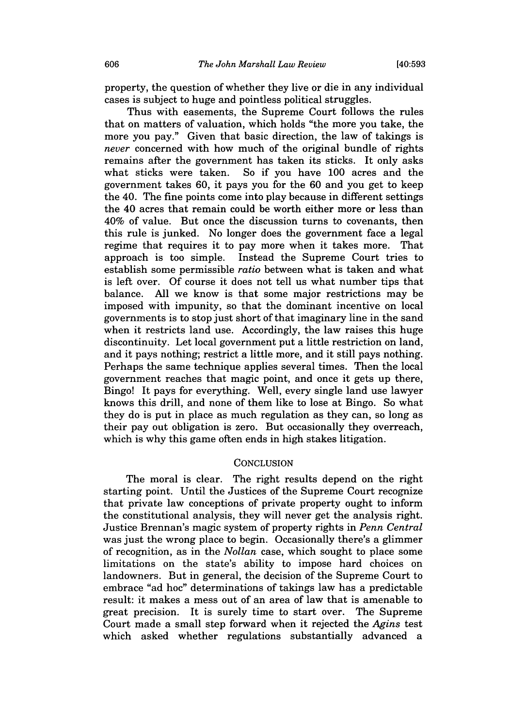property, the question of whether they live or die in any individual cases is subject to huge and pointless political struggles.

Thus with easements, the Supreme Court follows the rules that on matters of valuation, which holds "the more you take, the more you pay." Given that basic direction, the law of takings is *never* concerned with how much of the original bundle of rights remains after the government has taken its sticks. It only asks what sticks were taken. So if you have 100 acres and the government takes 60, it pays you for the 60 and you get to keep the 40. The fine points come into play because in different settings the 40 acres that remain could be worth either more or less than 40% of value. But once the discussion turns to covenants, then this rule is junked. No longer does the government face a legal regime that requires it to pay more when it takes more. That approach is too simple. Instead the Supreme Court tries to establish some permissible *ratio* between what is taken and what is left over. Of course it does not tell us what number tips that balance. All we know is that some major restrictions may be imposed with impunity, so that the dominant incentive on local governments is to stop just short of that imaginary line in the sand when it restricts land use. Accordingly, the law raises this huge discontinuity. Let local government put a little restriction on land, and it pays nothing; restrict a little more, and it still pays nothing. Perhaps the same technique applies several times. Then the local government reaches that magic point, and once it gets up there, Bingo! It pays for everything. Well, every single land use lawyer knows this drill, and none of them like to lose at Bingo. So what they do is put in place as much regulation as they can, so long as their pay out obligation is zero. But occasionally they overreach, which is why this game often ends in high stakes litigation.

### **CONCLUSION**

The moral is clear. The right results depend on the right starting point. Until the Justices of the Supreme Court recognize that private law conceptions of private property ought to inform the constitutional analysis, they will never get the analysis right. Justice Brennan's magic system of property rights in *Penn Central* was just the wrong place to begin. Occasionally there's a glimmer of recognition, as in the *Nollan* case, which sought to place some limitations on the state's ability to impose hard choices on landowners. But in general, the decision of the Supreme Court to embrace "ad hoc" determinations of takings law has a predictable result: it makes a mess out of an area of law that is amenable to great precision. It is surely time to start over. The Supreme Court made a small step forward when it rejected the *Agins* test which asked whether regulations substantially advanced a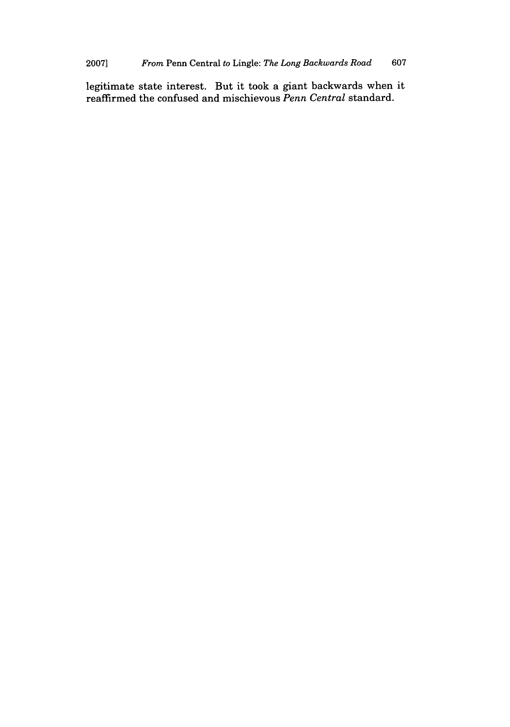legitimate state interest. But it took a giant backwards when it reaffirmed the confused and mischievous *Penn Central* standard.